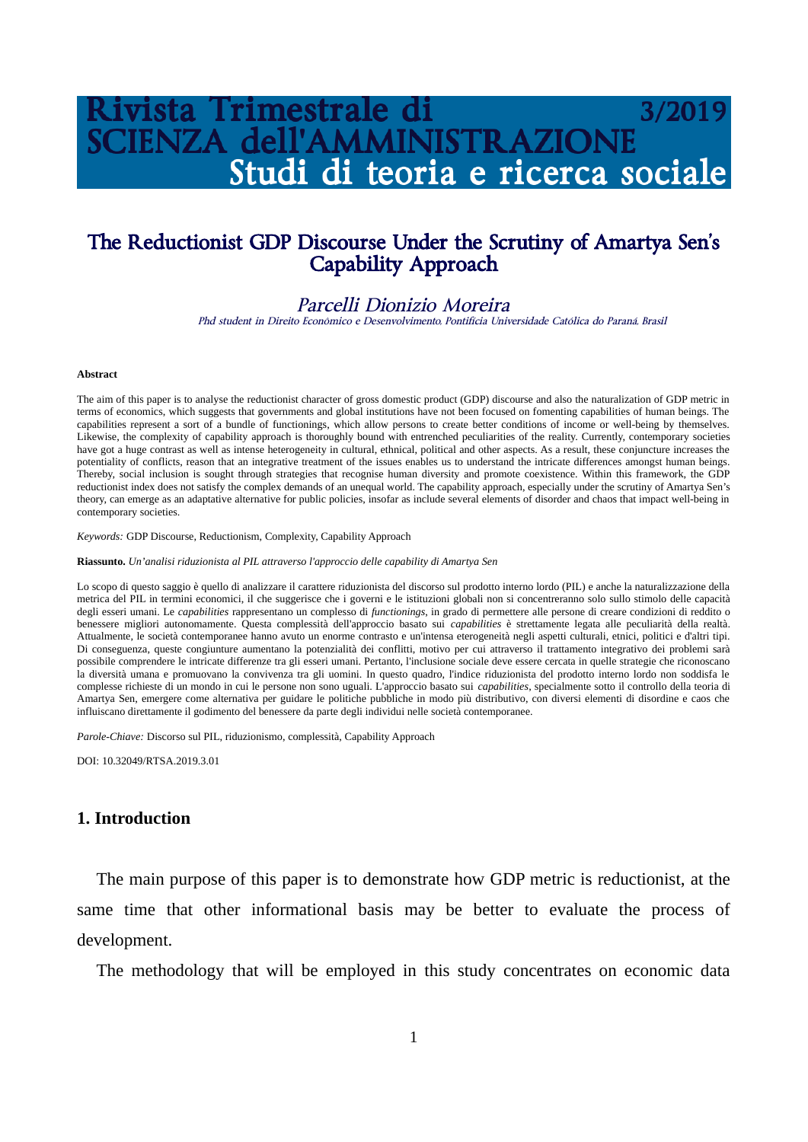# zista Trimestrale di **VZA dell'AMMINISTRAZIONE** Studi di teoria e ricerca sociale

## The Reductionist GDP Discourse Under the Scrutiny of Amartya Sen's Capability Approach

#### Parcelli Dionizio Moreira

Phd student in Direito Econômico e Desenvolvimento, Pontifícia Universidade Católica do Paraná, Brasil

#### **Abstract**

The aim of this paper is to analyse the reductionist character of gross domestic product (GDP) discourse and also the naturalization of GDP metric in terms of economics, which suggests that governments and global institutions have not been focused on fomenting capabilities of human beings. The capabilities represent a sort of a bundle of functionings, which allow persons to create better conditions of income or well-being by themselves. Likewise, the complexity of capability approach is thoroughly bound with entrenched peculiarities of the reality. Currently, contemporary societies have got a huge contrast as well as intense heterogeneity in cultural, ethnical, political and other aspects. As a result, these conjuncture increases the potentiality of conflicts, reason that an integrative treatment of the issues enables us to understand the intricate differences amongst human beings. Thereby, social inclusion is sought through strategies that recognise human diversity and promote coexistence. Within this framework, the GDP reductionist index does not satisfy the complex demands of an unequal world. The capability approach, especially under the scrutiny of Amartya Sen's theory, can emerge as an adaptative alternative for public policies, insofar as include several elements of disorder and chaos that impact well-being in contemporary societies.

*Keywords:* GDP Discourse, Reductionism, Complexity, Capability Approach

**Riassunto.** *Un'analisi riduzionista al PIL attraverso l'approccio delle capability di Amartya Sen*

Lo scopo di questo saggio è quello di analizzare il carattere riduzionista del discorso sul prodotto interno lordo (PIL) e anche la naturalizzazione della metrica del PIL in termini economici, il che suggerisce che i governi e le istituzioni globali non si concentreranno solo sullo stimolo delle capacità degli esseri umani. Le *capabilities* rappresentano un complesso di *functionings*, in grado di permettere alle persone di creare condizioni di reddito o benessere migliori autonomamente. Questa complessità dell'approccio basato sui *capabilities* è strettamente legata alle peculiarità della realtà. Attualmente, le società contemporanee hanno avuto un enorme contrasto e un'intensa eterogeneità negli aspetti culturali, etnici, politici e d'altri tipi. Di conseguenza, queste congiunture aumentano la potenzialità dei conflitti, motivo per cui attraverso il trattamento integrativo dei problemi sarà possibile comprendere le intricate differenze tra gli esseri umani. Pertanto, l'inclusione sociale deve essere cercata in quelle strategie che riconoscano la diversità umana e promuovano la convivenza tra gli uomini. In questo quadro, l'indice riduzionista del prodotto interno lordo non soddisfa le complesse richieste di un mondo in cui le persone non sono uguali. L'approccio basato sui *capabilities*, specialmente sotto il controllo della teoria di Amartya Sen, emergere come alternativa per guidare le politiche pubbliche in modo più distributivo, con diversi elementi di disordine e caos che influiscano direttamente il godimento del benessere da parte degli individui nelle società contemporanee.

*Parole-Chiave:* Discorso sul PIL, riduzionismo, complessità, Capability Approach

DOI: 10.32049/RTSA.2019.3.01

#### **1. Introduction**

The main purpose of this paper is to demonstrate how GDP metric is reductionist, at the same time that other informational basis may be better to evaluate the process of development.

The methodology that will be employed in this study concentrates on economic data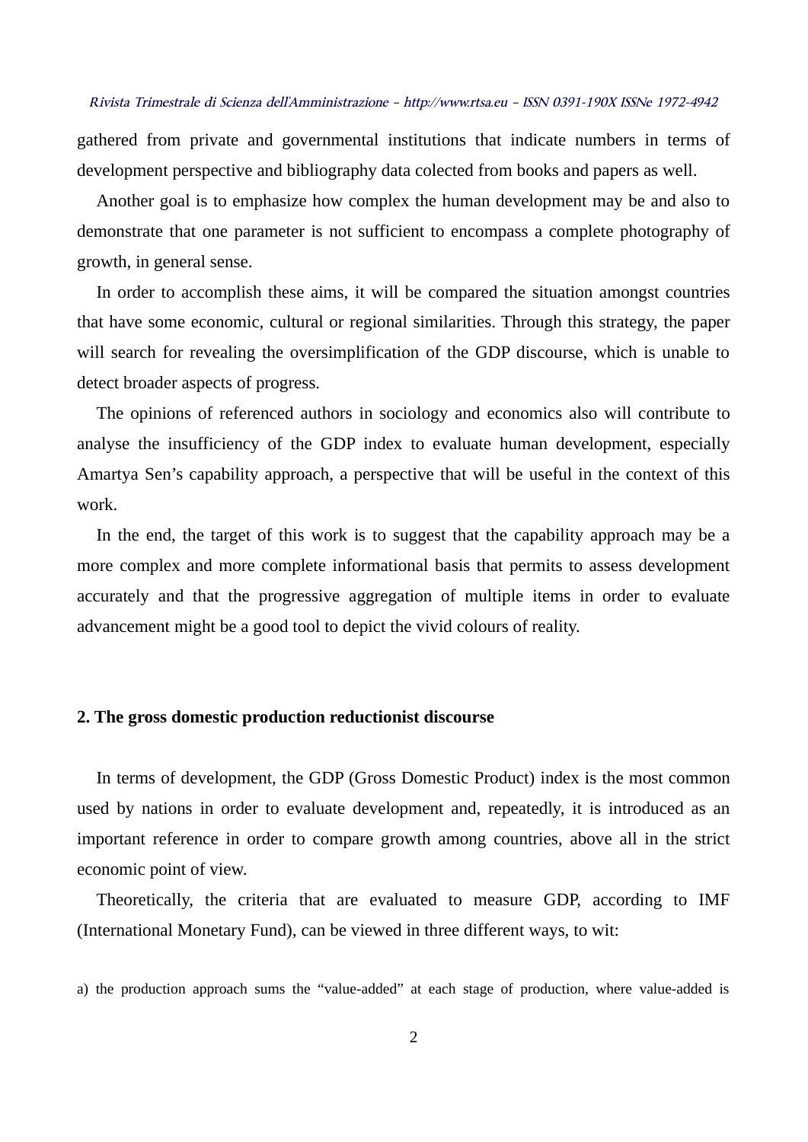gathered from private and governmental institutions that indicate numbers in terms of development perspective and bibliography data colected from books and papers as well.

Another goal is to emphasize how complex the human development may be and also to demonstrate that one parameter is not sufficient to encompass a complete photography of growth, in general sense.

In order to accomplish these aims, it will be compared the situation amongst countries that have some economic, cultural or regional similarities. Through this strategy, the paper will search for revealing the oversimplification of the GDP discourse, which is unable to detect broader aspects of progress.

The opinions of referenced authors in sociology and economics also will contribute to analyse the insufficiency of the GDP index to evaluate human development, especially Amartya Sen's capability approach, a perspective that will be useful in the context of this work.

In the end, the target of this work is to suggest that the capability approach may be a more complex and more complete informational basis that permits to assess development accurately and that the progressive aggregation of multiple items in order to evaluate advancement might be a good tool to depict the vivid colours of reality.

#### **2. The gross domestic production reductionist discourse**

In terms of development, the GDP (Gross Domestic Product) index is the most common used by nations in order to evaluate development and, repeatedly, it is introduced as an important reference in order to compare growth among countries, above all in the strict economic point of view.

Theoretically, the criteria that are evaluated to measure GDP, according to IMF (International Monetary Fund), can be viewed in three different ways, to wit:

a) the production approach sums the "value-added" at each stage of production, where value-added is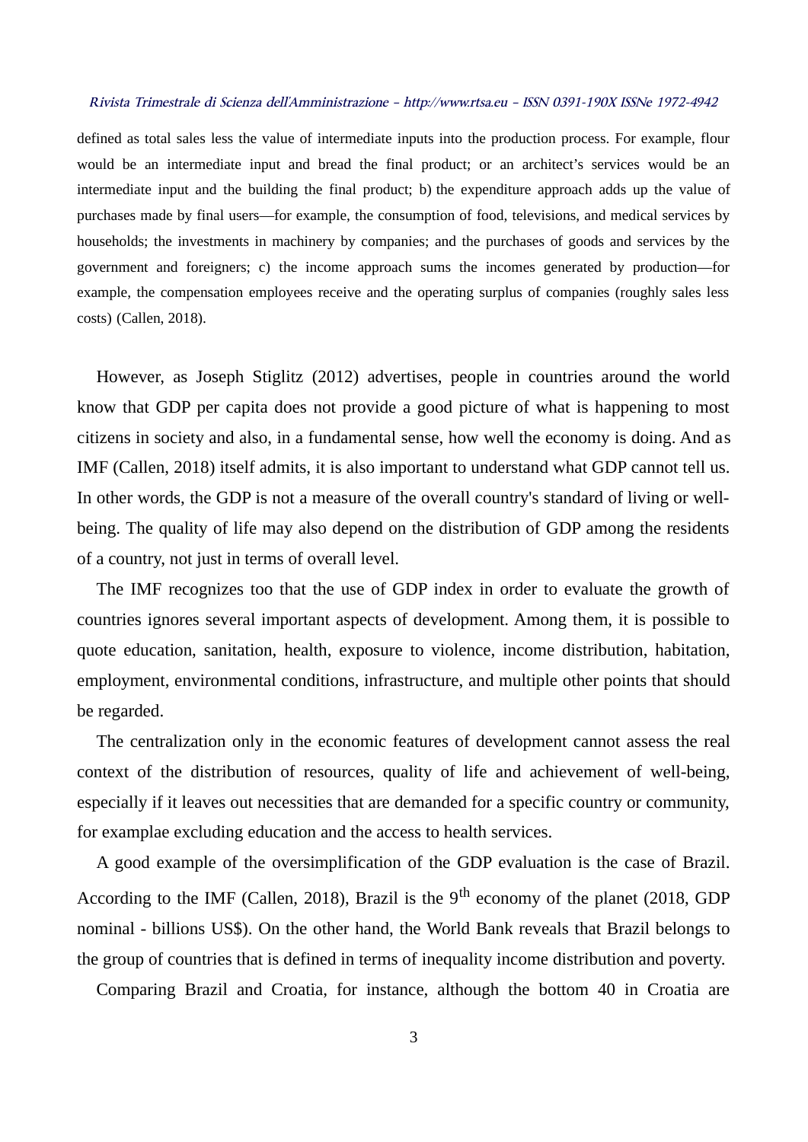defined as total sales less the value of intermediate inputs into the production process. For example, flour would be an intermediate input and bread the final product; or an architect's services would be an intermediate input and the building the final product; b) the expenditure approach adds up the value of purchases made by final users—for example, the consumption of food, televisions, and medical services by households; the investments in machinery by companies; and the purchases of goods and services by the government and foreigners; c) the income approach sums the incomes generated by production—for example, the compensation employees receive and the operating surplus of companies (roughly sales less costs) (Callen, 2018).

However, as Joseph Stiglitz (2012) advertises, people in countries around the world know that GDP per capita does not provide a good picture of what is happening to most citizens in society and also, in a fundamental sense, how well the economy is doing. And as IMF (Callen, 2018) itself admits, it is also important to understand what GDP cannot tell us. In other words, the GDP is not a measure of the overall country's standard of living or wellbeing. The quality of life may also depend on the distribution of GDP among the residents of a country, not just in terms of overall level.

The IMF recognizes too that the use of GDP index in order to evaluate the growth of countries ignores several important aspects of development. Among them, it is possible to quote education, sanitation, health, exposure to violence, income distribution, habitation, employment, environmental conditions, infrastructure, and multiple other points that should be regarded.

The centralization only in the economic features of development cannot assess the real context of the distribution of resources, quality of life and achievement of well-being, especially if it leaves out necessities that are demanded for a specific country or community, for examplae excluding education and the access to health services.

A good example of the oversimplification of the GDP evaluation is the case of Brazil. According to the IMF (Callen, 2018), Brazil is the  $9<sup>th</sup>$  economy of the planet (2018, GDP nominal - billions US\$). On the other hand, the World Bank reveals that Brazil belongs to the group of countries that is defined in terms of inequality income distribution and poverty.

Comparing Brazil and Croatia, for instance, although the bottom 40 in Croatia are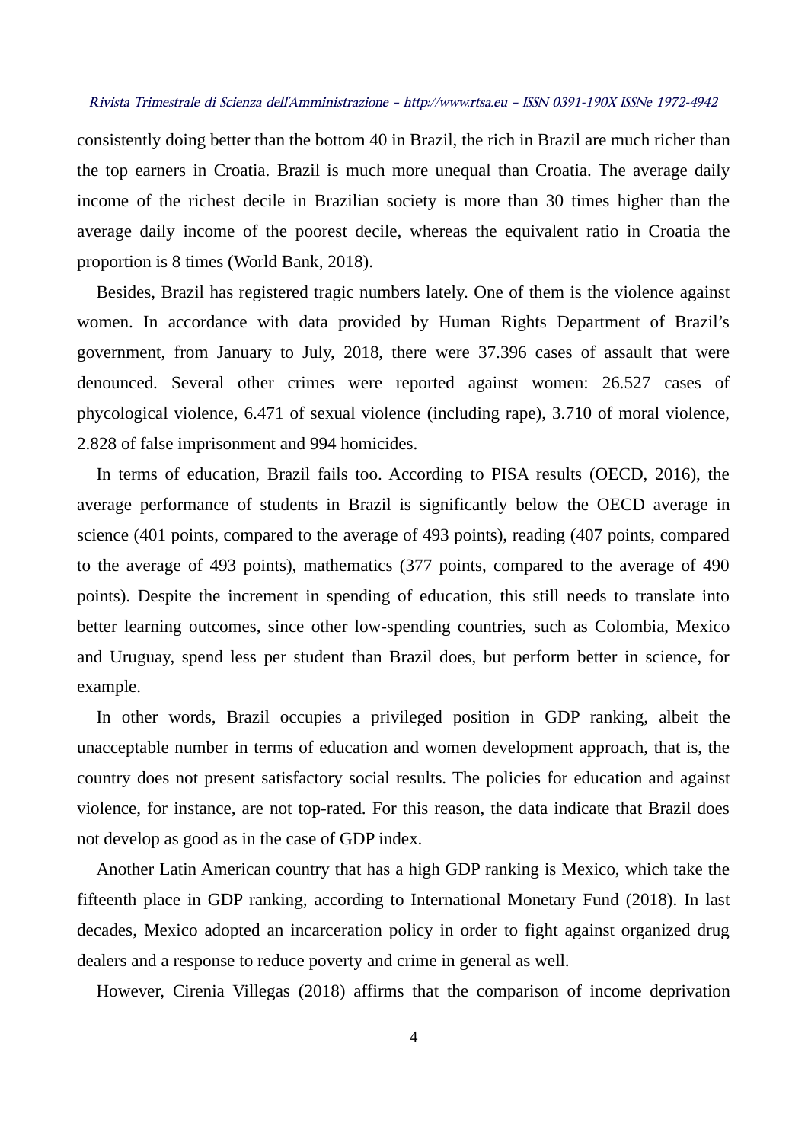consistently doing better than the bottom 40 in Brazil, the rich in Brazil are much richer than the top earners in Croatia. Brazil is much more unequal than Croatia. The average daily income of the richest decile in Brazilian society is more than 30 times higher than the average daily income of the poorest decile, whereas the equivalent ratio in Croatia the proportion is 8 times (World Bank, 2018).

Besides, Brazil has registered tragic numbers lately. One of them is the violence against women. In accordance with data provided by Human Rights Department of Brazil's government, from January to July, 2018, there were 37.396 cases of assault that were denounced. Several other crimes were reported against women: 26.527 cases of phycological violence, 6.471 of sexual violence (including rape), 3.710 of moral violence, 2.828 of false imprisonment and 994 homicides.

In terms of education, Brazil fails too. According to PISA results (OECD, 2016), the average performance of students in Brazil is significantly below the OECD average in science (401 points, compared to the average of 493 points), reading (407 points, compared to the average of 493 points), mathematics (377 points, compared to the average of 490 points). Despite the increment in spending of education, this still needs to translate into better learning outcomes, since other low-spending countries, such as Colombia, Mexico and Uruguay, spend less per student than Brazil does, but perform better in science, for example.

In other words, Brazil occupies a privileged position in GDP ranking, albeit the unacceptable number in terms of education and women development approach, that is, the country does not present satisfactory social results. The policies for education and against violence, for instance, are not top-rated. For this reason, the data indicate that Brazil does not develop as good as in the case of GDP index.

Another Latin American country that has a high GDP ranking is Mexico, which take the fifteenth place in GDP ranking, according to International Monetary Fund (2018). In last decades, Mexico adopted an incarceration policy in order to fight against organized drug dealers and a response to reduce poverty and crime in general as well.

However, Cirenia Villegas (2018) affirms that the comparison of income deprivation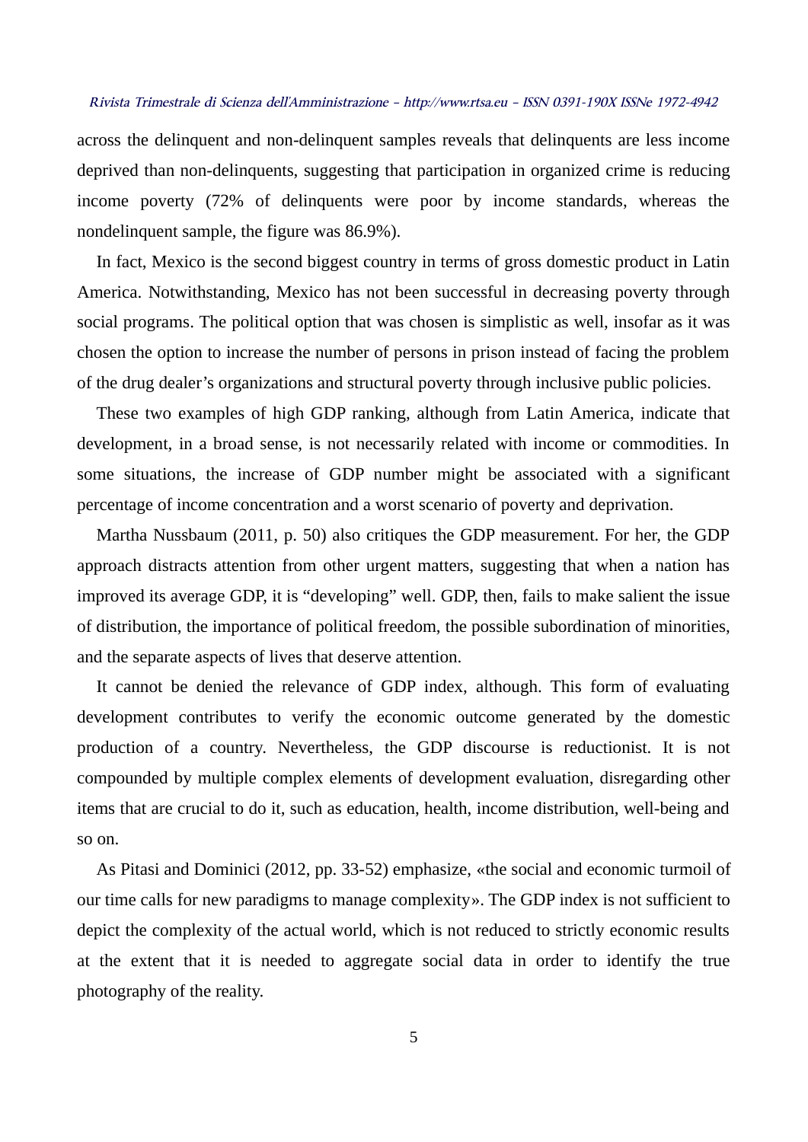across the delinquent and non-delinquent samples reveals that delinquents are less income deprived than non-delinquents, suggesting that participation in organized crime is reducing income poverty (72% of delinquents were poor by income standards, whereas the nondelinquent sample, the figure was 86.9%).

In fact, Mexico is the second biggest country in terms of gross domestic product in Latin America. Notwithstanding, Mexico has not been successful in decreasing poverty through social programs. The political option that was chosen is simplistic as well, insofar as it was chosen the option to increase the number of persons in prison instead of facing the problem of the drug dealer's organizations and structural poverty through inclusive public policies.

These two examples of high GDP ranking, although from Latin America, indicate that development, in a broad sense, is not necessarily related with income or commodities. In some situations, the increase of GDP number might be associated with a significant percentage of income concentration and a worst scenario of poverty and deprivation.

Martha Nussbaum (2011, p. 50) also critiques the GDP measurement. For her, the GDP approach distracts attention from other urgent matters, suggesting that when a nation has improved its average GDP, it is "developing" well. GDP, then, fails to make salient the issue of distribution, the importance of political freedom, the possible subordination of minorities, and the separate aspects of lives that deserve attention.

It cannot be denied the relevance of GDP index, although. This form of evaluating development contributes to verify the economic outcome generated by the domestic production of a country. Nevertheless, the GDP discourse is reductionist. It is not compounded by multiple complex elements of development evaluation, disregarding other items that are crucial to do it, such as education, health, income distribution, well-being and so on.

As Pitasi and Dominici (2012, pp. 33-52) emphasize, «the social and economic turmoil of our time calls for new paradigms to manage complexity». The GDP index is not sufficient to depict the complexity of the actual world, which is not reduced to strictly economic results at the extent that it is needed to aggregate social data in order to identify the true photography of the reality.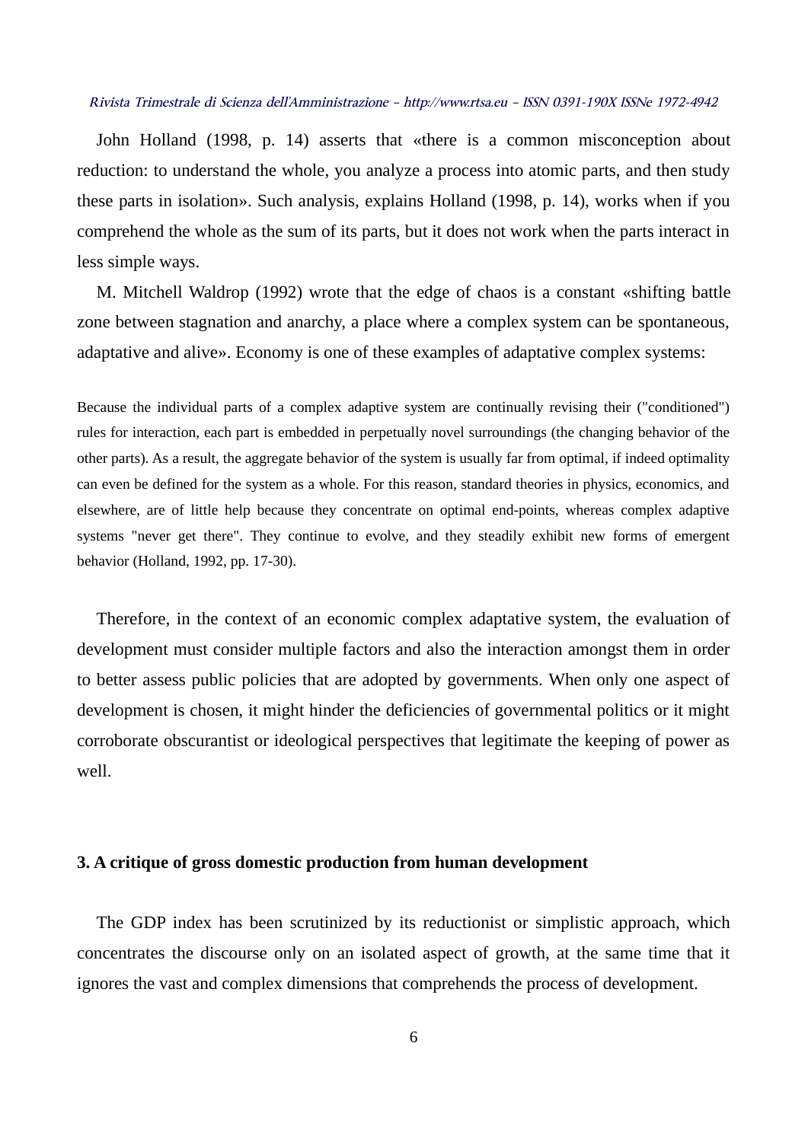John Holland (1998, p. 14) asserts that «there is a common misconception about reduction: to understand the whole, you analyze a process into atomic parts, and then study these parts in isolation». Such analysis, explains Holland (1998, p. 14), works when if you comprehend the whole as the sum of its parts, but it does not work when the parts interact in less simple ways.

M. Mitchell Waldrop (1992) wrote that the edge of chaos is a constant «shifting battle zone between stagnation and anarchy, a place where a complex system can be spontaneous, adaptative and alive». Economy is one of these examples of adaptative complex systems:

Because the individual parts of a complex adaptive system are continually revising their ("conditioned") rules for interaction, each part is embedded in perpetually novel surroundings (the changing behavior of the other parts). As a result, the aggregate behavior of the system is usually far from optimal, if indeed optimality can even be defined for the system as a whole. For this reason, standard theories in physics, economics, and elsewhere, are of little help because they concentrate on optimal end-points, whereas complex adaptive systems "never get there". They continue to evolve, and they steadily exhibit new forms of emergent behavior (Holland, 1992, pp. 17-30).

Therefore, in the context of an economic complex adaptative system, the evaluation of development must consider multiple factors and also the interaction amongst them in order to better assess public policies that are adopted by governments. When only one aspect of development is chosen, it might hinder the deficiencies of governmental politics or it might corroborate obscurantist or ideological perspectives that legitimate the keeping of power as well.

#### **3. A critique of gross domestic production from human development**

The GDP index has been scrutinized by its reductionist or simplistic approach, which concentrates the discourse only on an isolated aspect of growth, at the same time that it ignores the vast and complex dimensions that comprehends the process of development.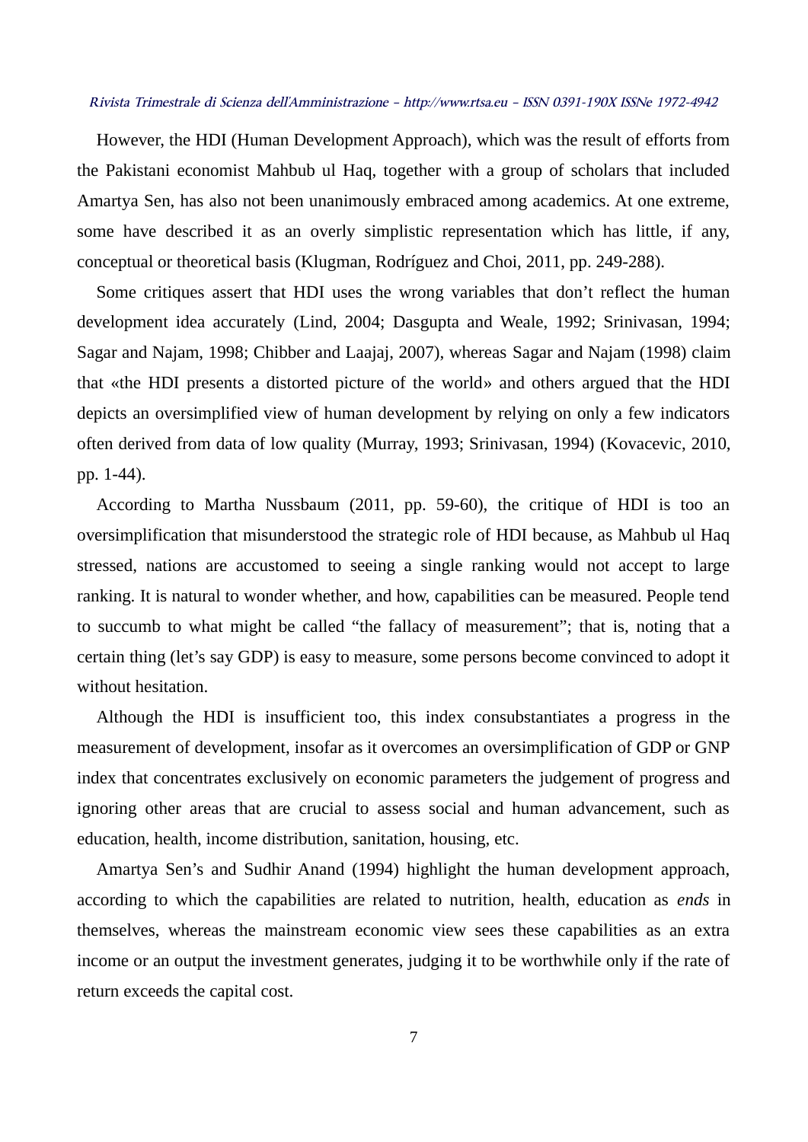However, the HDI (Human Development Approach), which was the result of efforts from the Pakistani economist Mahbub ul Haq, together with a group of scholars that included Amartya Sen, has also not been unanimously embraced among academics. At one extreme, some have described it as an overly simplistic representation which has little, if any, conceptual or theoretical basis (Klugman, Rodríguez and Choi, 2011, pp. 249-288).

Some critiques assert that HDI uses the wrong variables that don't reflect the human development idea accurately (Lind, 2004; Dasgupta and Weale, 1992; Srinivasan, 1994; Sagar and Najam, 1998; Chibber and Laajaj, 2007), whereas Sagar and Najam (1998) claim that «the HDI presents a distorted picture of the world» and others argued that the HDI depicts an oversimplified view of human development by relying on only a few indicators often derived from data of low quality (Murray, 1993; Srinivasan, 1994) (Kovacevic, 2010, pp. 1-44).

According to Martha Nussbaum (2011, pp. 59-60), the critique of HDI is too an oversimplification that misunderstood the strategic role of HDI because, as Mahbub ul Haq stressed, nations are accustomed to seeing a single ranking would not accept to large ranking. It is natural to wonder whether, and how, capabilities can be measured. People tend to succumb to what might be called "the fallacy of measurement"; that is, noting that a certain thing (let's say GDP) is easy to measure, some persons become convinced to adopt it without hesitation.

Although the HDI is insufficient too, this index consubstantiates a progress in the measurement of development, insofar as it overcomes an oversimplification of GDP or GNP index that concentrates exclusively on economic parameters the judgement of progress and ignoring other areas that are crucial to assess social and human advancement, such as education, health, income distribution, sanitation, housing, etc.

Amartya Sen's and Sudhir Anand (1994) highlight the human development approach, according to which the capabilities are related to nutrition, health, education as *ends* in themselves, whereas the mainstream economic view sees these capabilities as an extra income or an output the investment generates, judging it to be worthwhile only if the rate of return exceeds the capital cost.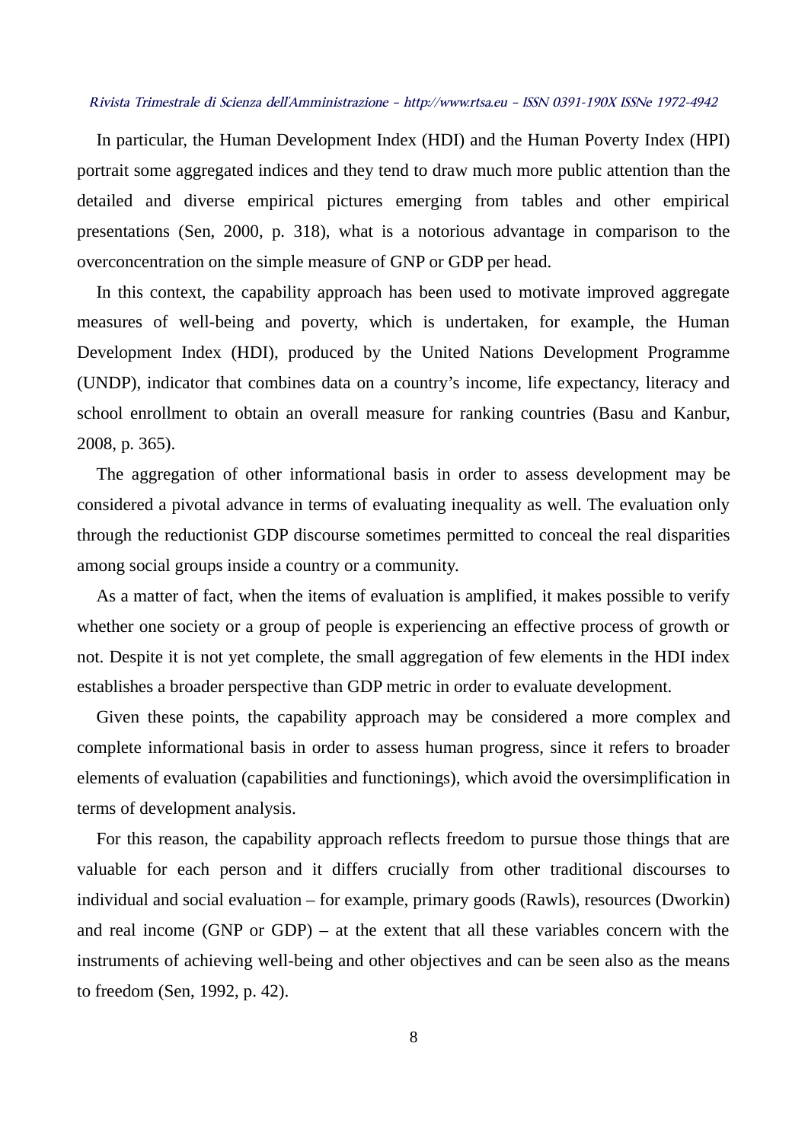In particular, the Human Development Index (HDI) and the Human Poverty Index (HPI) portrait some aggregated indices and they tend to draw much more public attention than the detailed and diverse empirical pictures emerging from tables and other empirical presentations (Sen, 2000, p. 318), what is a notorious advantage in comparison to the overconcentration on the simple measure of GNP or GDP per head.

In this context, the capability approach has been used to motivate improved aggregate measures of well-being and poverty, which is undertaken, for example, the Human Development Index (HDI), produced by the United Nations Development Programme (UNDP), indicator that combines data on a country's income, life expectancy, literacy and school enrollment to obtain an overall measure for ranking countries (Basu and Kanbur, 2008, p. 365).

The aggregation of other informational basis in order to assess development may be considered a pivotal advance in terms of evaluating inequality as well. The evaluation only through the reductionist GDP discourse sometimes permitted to conceal the real disparities among social groups inside a country or a community.

As a matter of fact, when the items of evaluation is amplified, it makes possible to verify whether one society or a group of people is experiencing an effective process of growth or not. Despite it is not yet complete, the small aggregation of few elements in the HDI index establishes a broader perspective than GDP metric in order to evaluate development.

Given these points, the capability approach may be considered a more complex and complete informational basis in order to assess human progress, since it refers to broader elements of evaluation (capabilities and functionings), which avoid the oversimplification in terms of development analysis.

For this reason, the capability approach reflects freedom to pursue those things that are valuable for each person and it differs crucially from other traditional discourses to individual and social evaluation – for example, primary goods (Rawls), resources (Dworkin) and real income (GNP or GDP) – at the extent that all these variables concern with the instruments of achieving well-being and other objectives and can be seen also as the means to freedom (Sen, 1992, p. 42).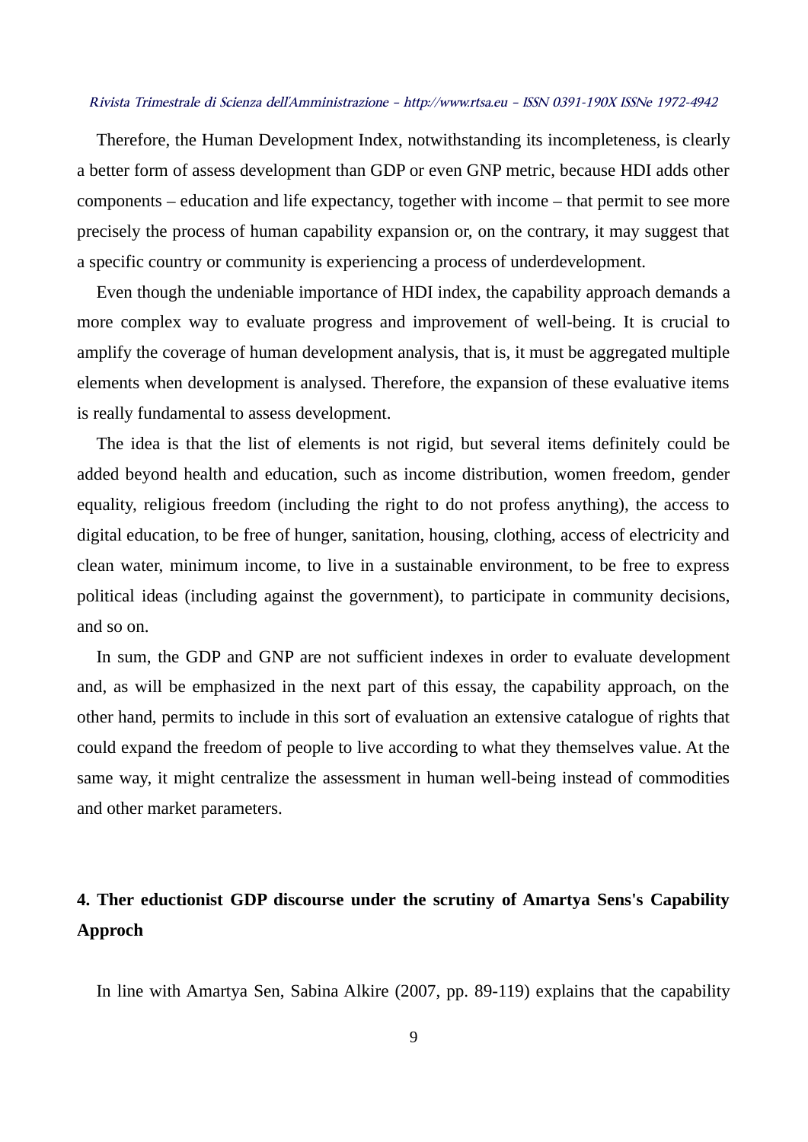Therefore, the Human Development Index, notwithstanding its incompleteness, is clearly a better form of assess development than GDP or even GNP metric, because HDI adds other components – education and life expectancy, together with income – that permit to see more precisely the process of human capability expansion or, on the contrary, it may suggest that a specific country or community is experiencing a process of underdevelopment.

Even though the undeniable importance of HDI index, the capability approach demands a more complex way to evaluate progress and improvement of well-being. It is crucial to amplify the coverage of human development analysis, that is, it must be aggregated multiple elements when development is analysed. Therefore, the expansion of these evaluative items is really fundamental to assess development.

The idea is that the list of elements is not rigid, but several items definitely could be added beyond health and education, such as income distribution, women freedom, gender equality, religious freedom (including the right to do not profess anything), the access to digital education, to be free of hunger, sanitation, housing, clothing, access of electricity and clean water, minimum income, to live in a sustainable environment, to be free to express political ideas (including against the government), to participate in community decisions, and so on.

In sum, the GDP and GNP are not sufficient indexes in order to evaluate development and, as will be emphasized in the next part of this essay, the capability approach, on the other hand, permits to include in this sort of evaluation an extensive catalogue of rights that could expand the freedom of people to live according to what they themselves value. At the same way, it might centralize the assessment in human well-being instead of commodities and other market parameters.

## **4. Ther eductionist GDP discourse under the scrutiny of Amartya Sens's Capability Approch**

In line with Amartya Sen, Sabina Alkire (2007, pp. 89-119) explains that the capability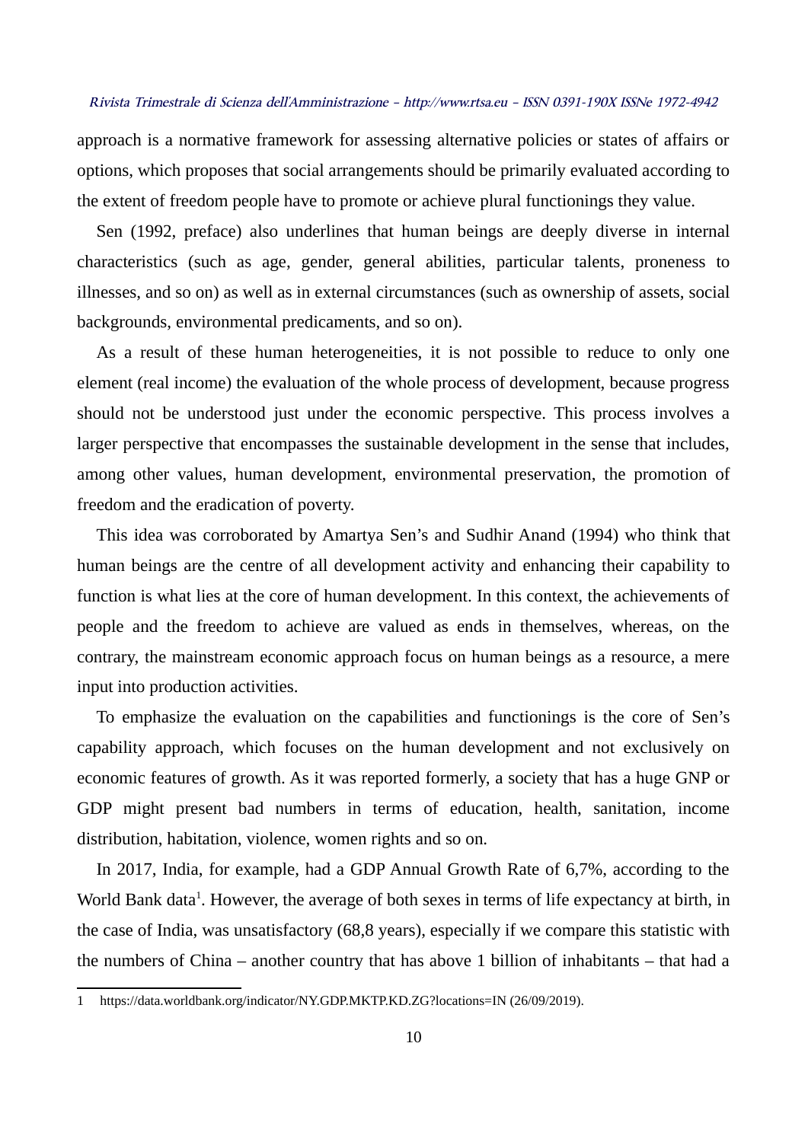approach is a normative framework for assessing alternative policies or states of affairs or options, which proposes that social arrangements should be primarily evaluated according to the extent of freedom people have to promote or achieve plural functionings they value.

Sen (1992, preface) also underlines that human beings are deeply diverse in internal characteristics (such as age, gender, general abilities, particular talents, proneness to illnesses, and so on) as well as in external circumstances (such as ownership of assets, social backgrounds, environmental predicaments, and so on).

As a result of these human heterogeneities, it is not possible to reduce to only one element (real income) the evaluation of the whole process of development, because progress should not be understood just under the economic perspective. This process involves a larger perspective that encompasses the sustainable development in the sense that includes, among other values, human development, environmental preservation, the promotion of freedom and the eradication of poverty.

This idea was corroborated by Amartya Sen's and Sudhir Anand (1994) who think that human beings are the centre of all development activity and enhancing their capability to function is what lies at the core of human development. In this context, the achievements of people and the freedom to achieve are valued as ends in themselves, whereas, on the contrary, the mainstream economic approach focus on human beings as a resource, a mere input into production activities.

To emphasize the evaluation on the capabilities and functionings is the core of Sen's capability approach, which focuses on the human development and not exclusively on economic features of growth. As it was reported formerly, a society that has a huge GNP or GDP might present bad numbers in terms of education, health, sanitation, income distribution, habitation, violence, women rights and so on.

In 2017, India, for example, had a GDP Annual Growth Rate of 6,7%, according to the World Bank data<sup>[1](#page-9-0)</sup>. However, the average of both sexes in terms of life expectancy at birth, in the case of India, was unsatisfactory (68,8 years), especially if we compare this statistic with the numbers of China – another country that has above 1 billion of inhabitants – that had a

<span id="page-9-0"></span><sup>1</sup> https://data.worldbank.org/indicator/NY.GDP.MKTP.KD.ZG?locations=IN (26/09/2019).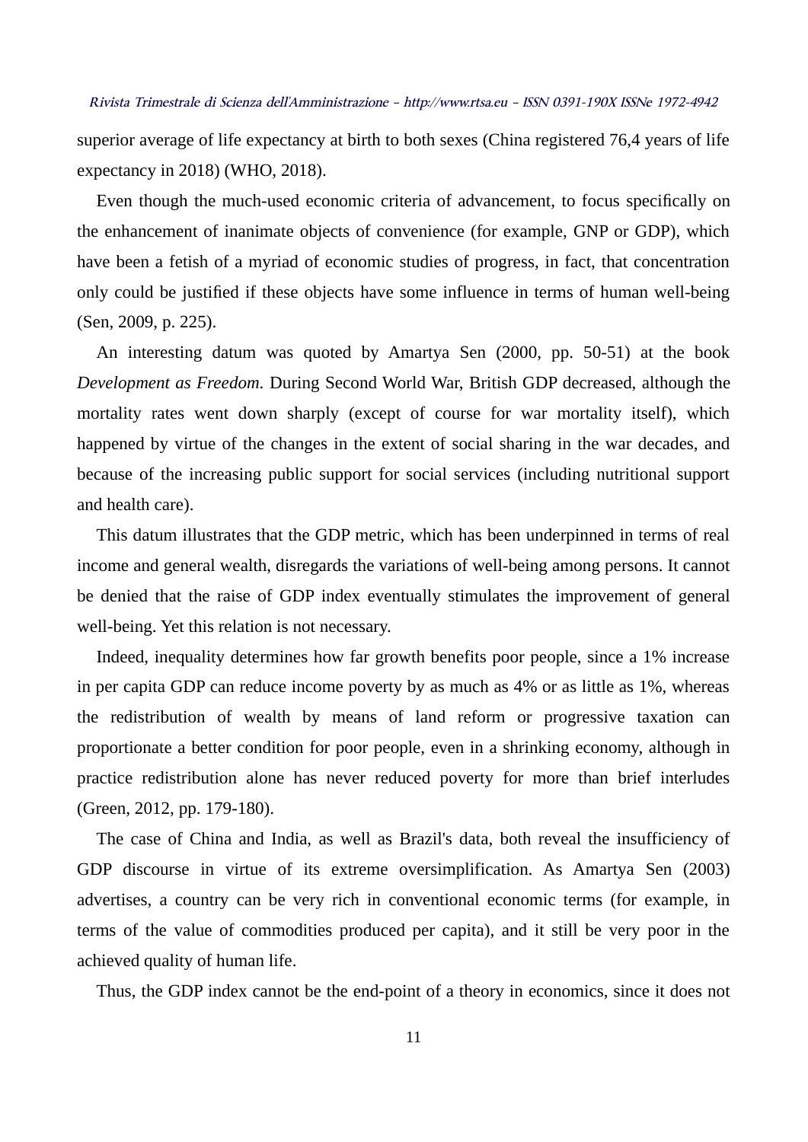superior average of life expectancy at birth to both sexes (China registered 76,4 years of life expectancy in 2018) (WHO, 2018).

Even though the much-used economic criteria of advancement, to focus specifically on the enhancement of inanimate objects of convenience (for example, GNP or GDP), which have been a fetish of a myriad of economic studies of progress, in fact, that concentration only could be justified if these objects have some influence in terms of human well-being (Sen, 2009, p. 225).

An interesting datum was quoted by Amartya Sen (2000, pp. 50-51) at the book *Development as Freedom.* During Second World War, British GDP decreased, although the mortality rates went down sharply (except of course for war mortality itself), which happened by virtue of the changes in the extent of social sharing in the war decades, and because of the increasing public support for social services (including nutritional support and health care).

This datum illustrates that the GDP metric, which has been underpinned in terms of real income and general wealth, disregards the variations of well-being among persons. It cannot be denied that the raise of GDP index eventually stimulates the improvement of general well-being. Yet this relation is not necessary.

Indeed, inequality determines how far growth benefits poor people, since a 1% increase in per capita GDP can reduce income poverty by as much as 4% or as little as 1%, whereas the redistribution of wealth by means of land reform or progressive taxation can proportionate a better condition for poor people, even in a shrinking economy, although in practice redistribution alone has never reduced poverty for more than brief interludes (Green, 2012, pp. 179-180).

The case of China and India, as well as Brazil's data, both reveal the insufficiency of GDP discourse in virtue of its extreme oversimplification. As Amartya Sen (2003) advertises, a country can be very rich in conventional economic terms (for example, in terms of the value of commodities produced per capita), and it still be very poor in the achieved quality of human life.

Thus, the GDP index cannot be the end-point of a theory in economics, since it does not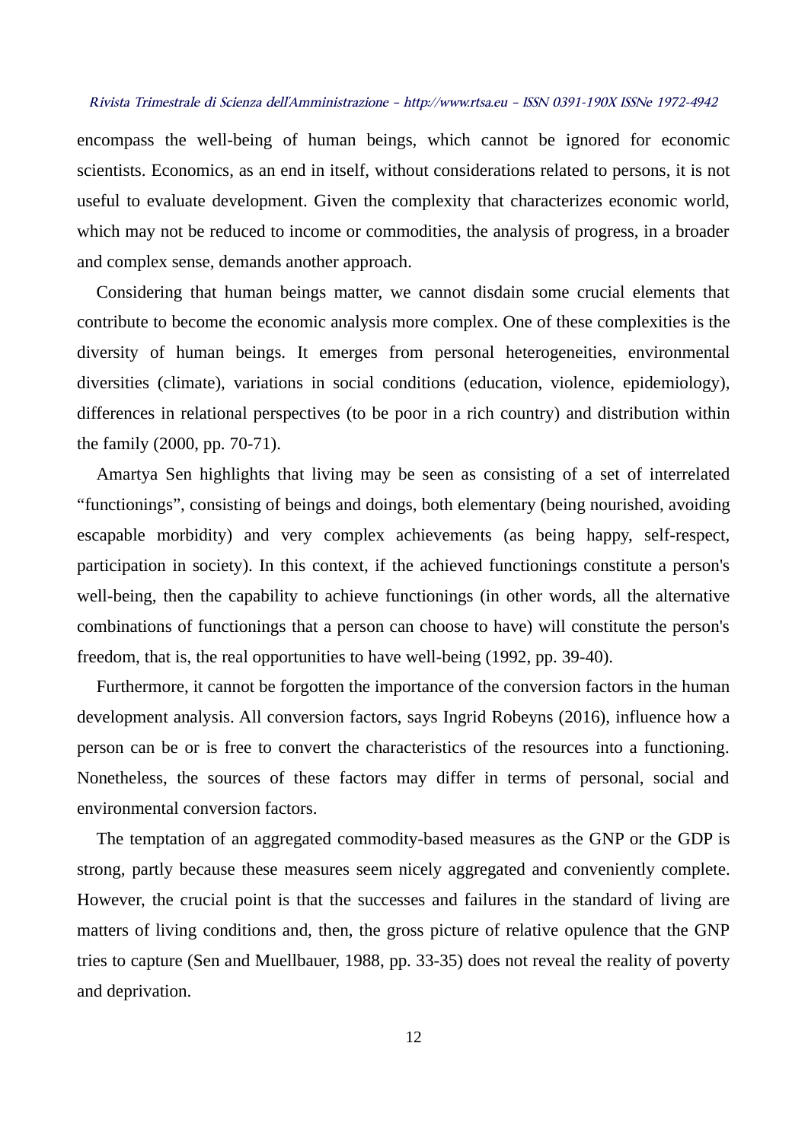encompass the well-being of human beings, which cannot be ignored for economic scientists. Economics, as an end in itself, without considerations related to persons, it is not useful to evaluate development. Given the complexity that characterizes economic world, which may not be reduced to income or commodities, the analysis of progress, in a broader and complex sense, demands another approach.

Considering that human beings matter, we cannot disdain some crucial elements that contribute to become the economic analysis more complex. One of these complexities is the diversity of human beings. It emerges from personal heterogeneities, environmental diversities (climate), variations in social conditions (education, violence, epidemiology), differences in relational perspectives (to be poor in a rich country) and distribution within the family (2000, pp. 70-71).

Amartya Sen highlights that living may be seen as consisting of a set of interrelated "functionings", consisting of beings and doings, both elementary (being nourished, avoiding escapable morbidity) and very complex achievements (as being happy, self-respect, participation in society). In this context, if the achieved functionings constitute a person's well-being, then the capability to achieve functionings (in other words, all the alternative combinations of functionings that a person can choose to have) will constitute the person's freedom, that is, the real opportunities to have well-being (1992, pp. 39-40).

Furthermore, it cannot be forgotten the importance of the conversion factors in the human development analysis. All conversion factors, says Ingrid Robeyns (2016), influence how a person can be or is free to convert the characteristics of the resources into a functioning. Nonetheless, the sources of these factors may differ in terms of personal, social and environmental conversion factors.

The temptation of an aggregated commodity-based measures as the GNP or the GDP is strong, partly because these measures seem nicely aggregated and conveniently complete. However, the crucial point is that the successes and failures in the standard of living are matters of living conditions and, then, the gross picture of relative opulence that the GNP tries to capture (Sen and Muellbauer, 1988, pp. 33-35) does not reveal the reality of poverty and deprivation.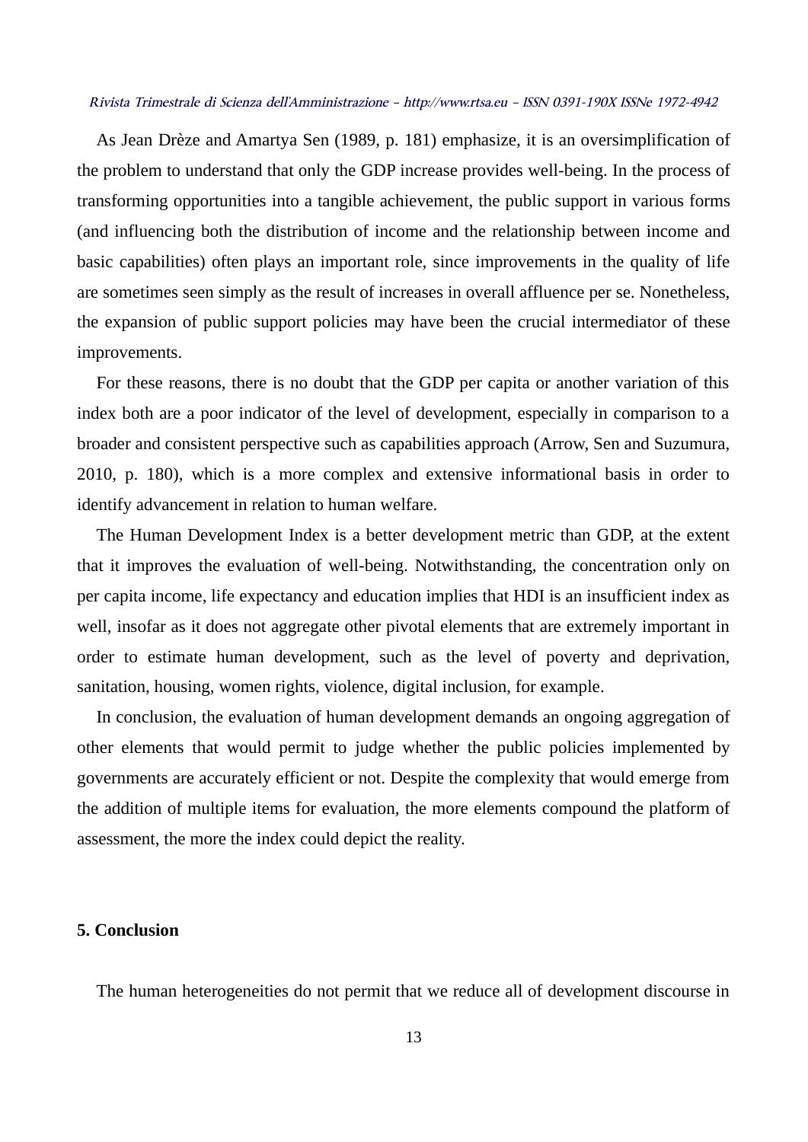As Jean Drèze and Amartya Sen (1989, p. 181) emphasize, it is an oversimplification of the problem to understand that only the GDP increase provides well-being. In the process of transforming opportunities into a tangible achievement, the public support in various forms (and influencing both the distribution of income and the relationship between income and basic capabilities) often plays an important role, since improvements in the quality of life are sometimes seen simply as the result of increases in overall affluence per se. Nonetheless, the expansion of public support policies may have been the crucial intermediator of these improvements.

For these reasons, there is no doubt that the GDP per capita or another variation of this index both are a poor indicator of the level of development, especially in comparison to a broader and consistent perspective such as capabilities approach (Arrow, Sen and Suzumura, 2010, p. 180), which is a more complex and extensive informational basis in order to identify advancement in relation to human welfare.

The Human Development Index is a better development metric than GDP, at the extent that it improves the evaluation of well-being. Notwithstanding, the concentration only on per capita income, life expectancy and education implies that HDI is an insufficient index as well, insofar as it does not aggregate other pivotal elements that are extremely important in order to estimate human development, such as the level of poverty and deprivation, sanitation, housing, women rights, violence, digital inclusion, for example.

In conclusion, the evaluation of human development demands an ongoing aggregation of other elements that would permit to judge whether the public policies implemented by governments are accurately efficient or not. Despite the complexity that would emerge from the addition of multiple items for evaluation, the more elements compound the platform of assessment, the more the index could depict the reality.

#### **5. Conclusion**

The human heterogeneities do not permit that we reduce all of development discourse in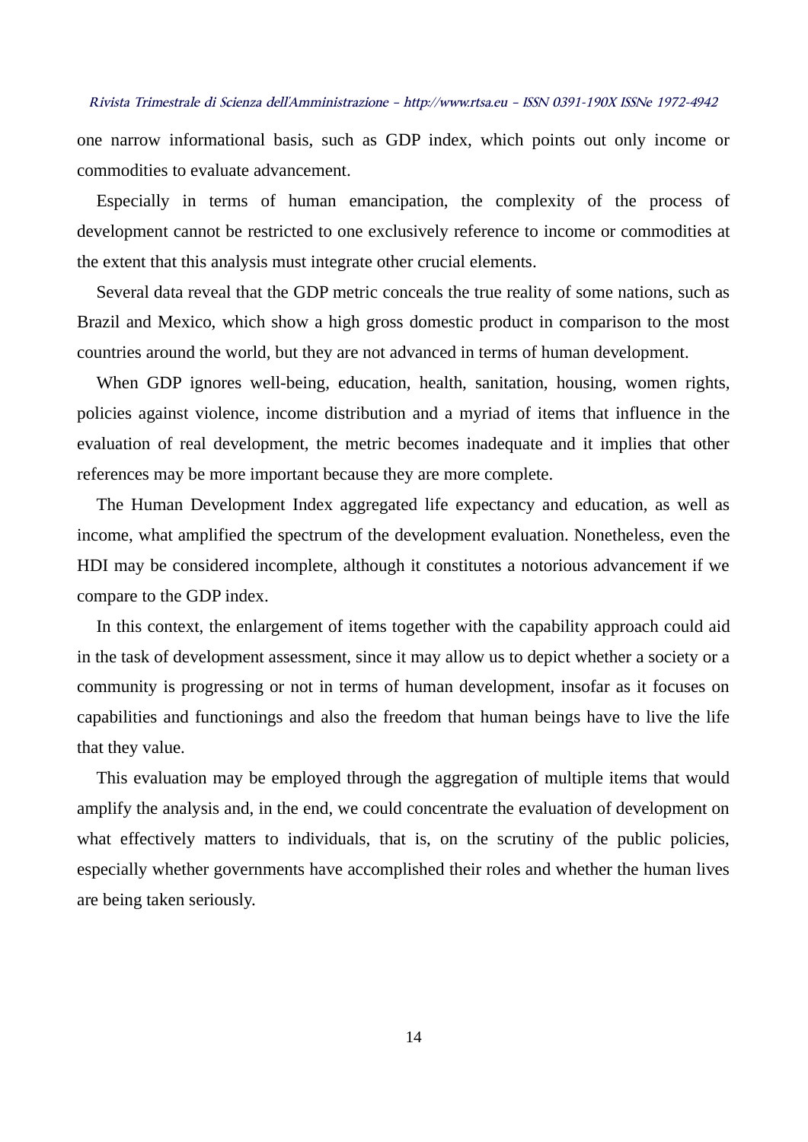one narrow informational basis, such as GDP index, which points out only income or commodities to evaluate advancement.

Especially in terms of human emancipation, the complexity of the process of development cannot be restricted to one exclusively reference to income or commodities at the extent that this analysis must integrate other crucial elements.

Several data reveal that the GDP metric conceals the true reality of some nations, such as Brazil and Mexico, which show a high gross domestic product in comparison to the most countries around the world, but they are not advanced in terms of human development.

When GDP ignores well-being, education, health, sanitation, housing, women rights, policies against violence, income distribution and a myriad of items that influence in the evaluation of real development, the metric becomes inadequate and it implies that other references may be more important because they are more complete.

The Human Development Index aggregated life expectancy and education, as well as income, what amplified the spectrum of the development evaluation. Nonetheless, even the HDI may be considered incomplete, although it constitutes a notorious advancement if we compare to the GDP index.

In this context, the enlargement of items together with the capability approach could aid in the task of development assessment, since it may allow us to depict whether a society or a community is progressing or not in terms of human development, insofar as it focuses on capabilities and functionings and also the freedom that human beings have to live the life that they value.

This evaluation may be employed through the aggregation of multiple items that would amplify the analysis and, in the end, we could concentrate the evaluation of development on what effectively matters to individuals, that is, on the scrutiny of the public policies, especially whether governments have accomplished their roles and whether the human lives are being taken seriously.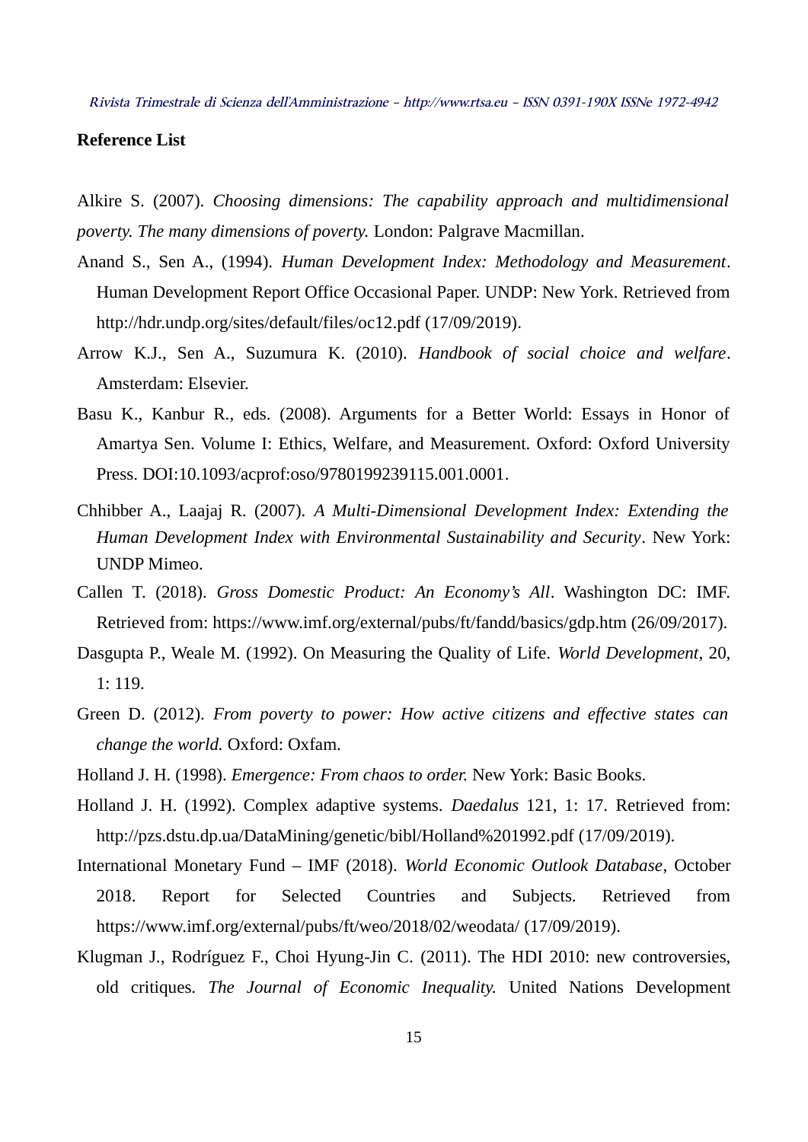### **Reference List**

Alkire S. (2007). *Choosing dimensions: The capability approach and multidimensional poverty. The many dimensions of poverty.* London: Palgrave Macmillan.

- Anand S., Sen A., (1994). *Human Development Index: Methodology and Measurement*. Human Development Report Office Occasional Paper. UNDP: New York. Retrieved from http://hdr.undp.org/sites/default/files/oc12.pdf (17/09/2019).
- Arrow K.J., Sen A., Suzumura K. (2010). *Handbook of social choice and welfare*. Amsterdam: Elsevier.
- Basu K., Kanbur R., eds. (2008). Arguments for a Better World: Essays in Honor of Amartya Sen. Volume I: Ethics, Welfare, and Measurement. Oxford: Oxford University Press. DOI:10.1093/acprof:oso/9780199239115.001.0001.
- Chhibber A., Laajaj R. (2007). *A Multi-Dimensional Development Index: Extending the Human Development Index with Environmental Sustainability and Security*. New York: UNDP Mimeo.
- Callen T. (2018). *Gross Domestic Product: An Economy's All*. Washington DC: IMF. Retrieved from: https://www.imf.org/external/pubs/ft/fandd/basics/gdp.htm (26/09/2017).
- Dasgupta P., Weale M. (1992). On Measuring the Quality of Life. *World Development*, 20, 1: 119.
- Green D. (2012). *From poverty to power: How active citizens and effective states can change the world.* Oxford: Oxfam.
- Holland J. H. (1998). *Emergence: From chaos to order.* New York: Basic Books.
- Holland J. H. (1992). Complex adaptive systems. *Daedalus* 121, 1: 17. Retrieved from: http://pzs.dstu.dp.ua/DataMining/genetic/bibl/Holland%201992.pdf (17/09/2019).
- International Monetary Fund IMF (2018). *World Economic Outlook Database*, October 2018. Report for Selected Countries and Subjects. Retrieved from https://www.imf.org/external/pubs/ft/weo/2018/02/weodata/ (17/09/2019).
- Klugman J., Rodríguez F., Choi Hyung-Jin C. (2011). The HDI 2010: new controversies, old critiques. *The Journal of Economic Inequality.* United Nations Development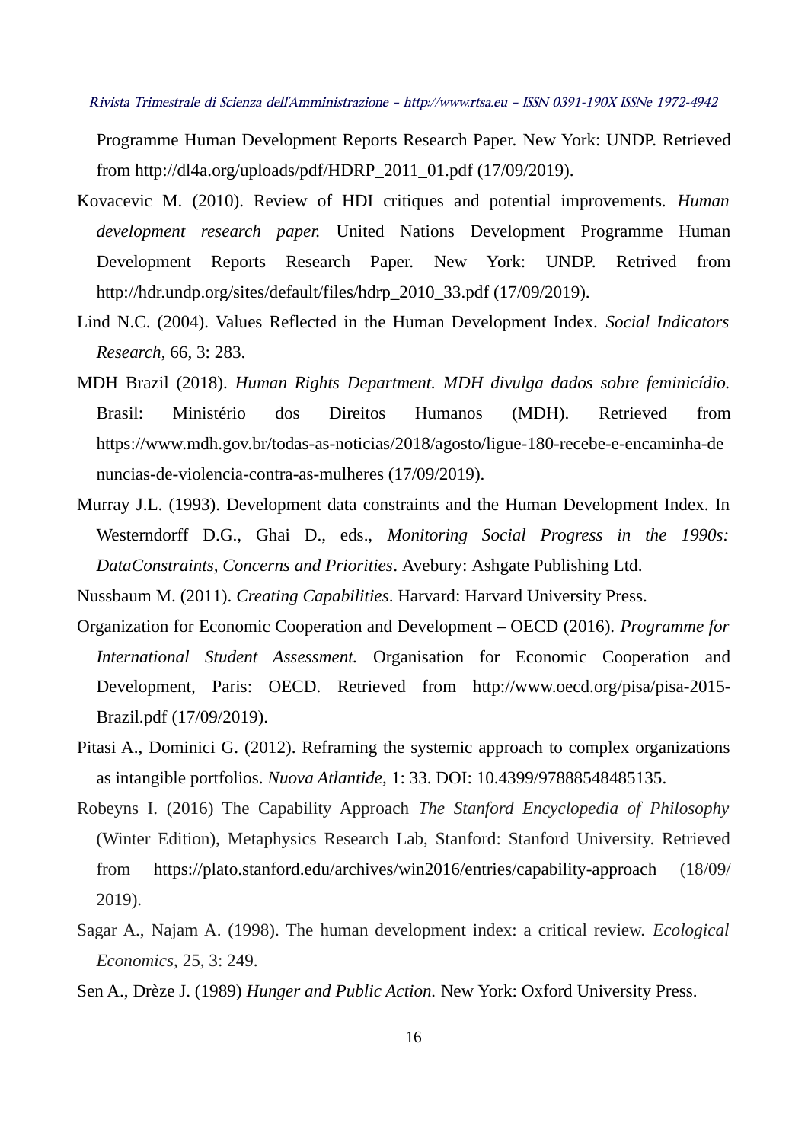Programme Human Development Reports Research Paper. New York: UNDP. Retrieved from http://dl4a.org/uploads/pdf/HDRP\_2011\_01.pdf (17/09/2019).

- Kovacevic M. (2010). Review of HDI critiques and potential improvements. *Human development research paper.* United Nations Development Programme Human Development Reports Research Paper. New York: UNDP. Retrived from http://hdr.undp.org/sites/default/files/hdrp\_2010\_33.pdf (17/09/2019).
- Lind N.C. (2004). Values Reflected in the Human Development Index. *Social Indicators Research*, 66, 3: 283.
- MDH Brazil (2018). *Human Rights Department. MDH divulga dados sobre feminicídio.* Brasil: Ministério dos Direitos Humanos (MDH). Retrieved from https://www.mdh.gov.br/todas-as-noticias/2018/agosto/ligue-180-recebe-e-encaminha-de nuncias-de-violencia-contra-as-mulheres (17/09/2019).
- Murray J.L. (1993). Development data constraints and the Human Development Index. In Westerndorff D.G., Ghai D., eds., *Monitoring Social Progress in the 1990s: DataConstraints, Concerns and Priorities*. Avebury: Ashgate Publishing Ltd.

Nussbaum M. (2011). *Creating Capabilities*. Harvard: Harvard University Press.

- Organization for Economic Cooperation and Development OECD (2016). *Programme for International Student Assessment.* Organisation for Economic Cooperation and Development, Paris: OECD. Retrieved from [http://www.oecd.org/pisa/pisa-2015-](http://www.oecd.org/pisa/pisa-2015-Brazil.pdf) [Brazil.pdf](http://www.oecd.org/pisa/pisa-2015-Brazil.pdf) (17/09/2019).
- Pitasi A., Dominici G. (2012). Reframing the systemic approach to complex organizations as intangible portfolios. *Nuova Atlantide,* 1: 33. DOI: 10.4399/97888548485135.
- Robeyns I. (2016) The Capability Approach *The Stanford Encyclopedia of Philosophy* (Winter Edition), Metaphysics Research Lab, Stanford: Stanford University. Retrieved from https://plato.stanford.edu/archives/win2016/entries/capability-approach (18/09/ 2019).
- Sagar A., Najam A. (1998). The human development index: a critical review. *Ecological Economics*, 25, 3: 249.
- Sen A., Drèze J. (1989) *Hunger and Public Action.* New York: Oxford University Press.